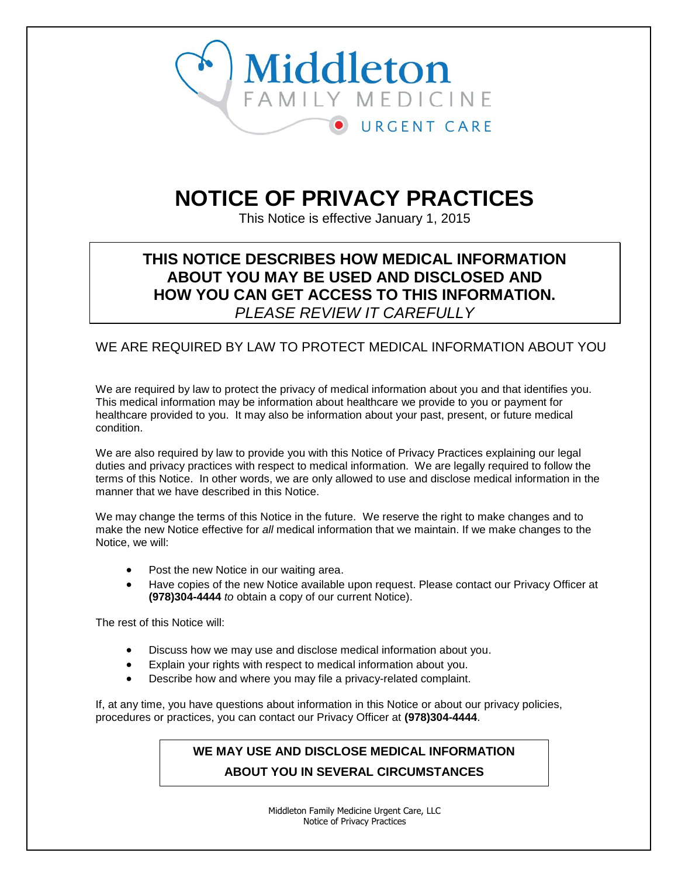

# **NOTICE OF PRIVACY PRACTICES**

This Notice is effective January 1, 2015

# **THIS NOTICE DESCRIBES HOW MEDICAL INFORMATION ABOUT YOU MAY BE USED AND DISCLOSED AND HOW YOU CAN GET ACCESS TO THIS INFORMATION.** *PLEASE REVIEW IT CAREFULLY*

# WE ARE REQUIRED BY LAW TO PROTECT MEDICAL INFORMATION ABOUT YOU

We are required by law to protect the privacy of medical information about you and that identifies you. This medical information may be information about healthcare we provide to you or payment for healthcare provided to you. It may also be information about your past, present, or future medical condition.

We are also required by law to provide you with this Notice of Privacy Practices explaining our legal duties and privacy practices with respect to medical information. We are legally required to follow the terms of this Notice. In other words, we are only allowed to use and disclose medical information in the manner that we have described in this Notice.

We may change the terms of this Notice in the future. We reserve the right to make changes and to make the new Notice effective for *all* medical information that we maintain. If we make changes to the Notice, we will:

- Post the new Notice in our waiting area.
- Have copies of the new Notice available upon request. Please contact our Privacy Officer at **(978)304-4444** *to* obtain a copy of our current Notice).

The rest of this Notice will:

- Discuss how we may use and disclose medical information about you.
- Explain your rights with respect to medical information about you.
- Describe how and where you may file a privacy-related complaint.

If, at any time, you have questions about information in this Notice or about our privacy policies, procedures or practices, you can contact our Privacy Officer at **(978)304-4444**.

# **WE MAY USE AND DISCLOSE MEDICAL INFORMATION ABOUT YOU IN SEVERAL CIRCUMSTANCES**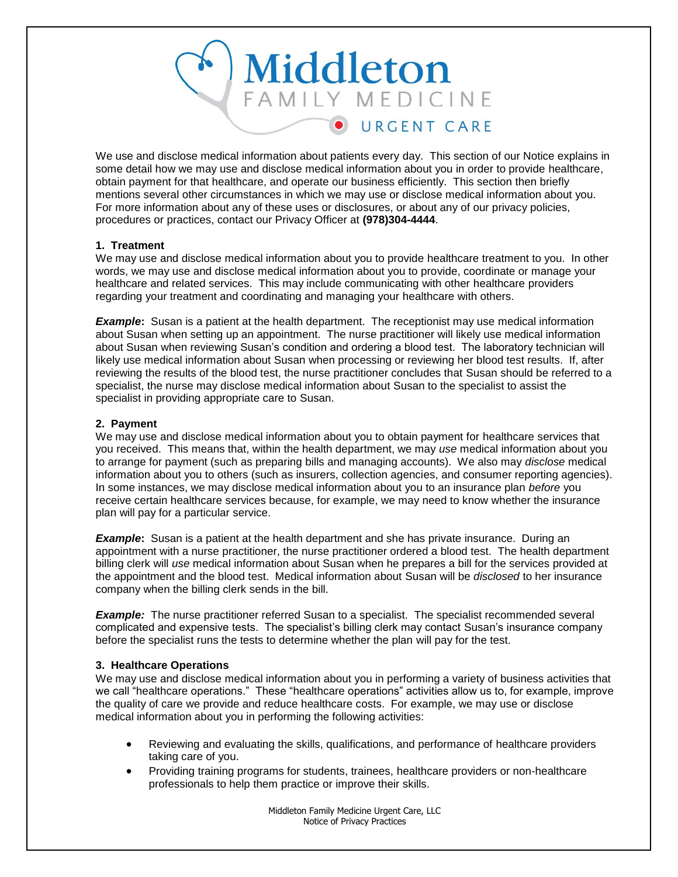

We use and disclose medical information about patients every day. This section of our Notice explains in some detail how we may use and disclose medical information about you in order to provide healthcare, obtain payment for that healthcare, and operate our business efficiently. This section then briefly mentions several other circumstances in which we may use or disclose medical information about you. For more information about any of these uses or disclosures, or about any of our privacy policies, procedures or practices, contact our Privacy Officer at **(978)304-4444**.

# **1. Treatment**

We may use and disclose medical information about you to provide healthcare treatment to you. In other words, we may use and disclose medical information about you to provide, coordinate or manage your healthcare and related services. This may include communicating with other healthcare providers regarding your treatment and coordinating and managing your healthcare with others.

**Example:** Susan is a patient at the health department. The receptionist may use medical information about Susan when setting up an appointment. The nurse practitioner will likely use medical information about Susan when reviewing Susan's condition and ordering a blood test. The laboratory technician will likely use medical information about Susan when processing or reviewing her blood test results. If, after reviewing the results of the blood test, the nurse practitioner concludes that Susan should be referred to a specialist, the nurse may disclose medical information about Susan to the specialist to assist the specialist in providing appropriate care to Susan.

# **2. Payment**

We may use and disclose medical information about you to obtain payment for healthcare services that you received. This means that, within the health department, we may *use* medical information about you to arrange for payment (such as preparing bills and managing accounts). We also may *disclose* medical information about you to others (such as insurers, collection agencies, and consumer reporting agencies). In some instances, we may disclose medical information about you to an insurance plan *before* you receive certain healthcare services because, for example, we may need to know whether the insurance plan will pay for a particular service.

**Example:** Susan is a patient at the health department and she has private insurance. During an appointment with a nurse practitioner, the nurse practitioner ordered a blood test. The health department billing clerk will *use* medical information about Susan when he prepares a bill for the services provided at the appointment and the blood test. Medical information about Susan will be *disclosed* to her insurance company when the billing clerk sends in the bill.

**Example:** The nurse practitioner referred Susan to a specialist. The specialist recommended several complicated and expensive tests. The specialist's billing clerk may contact Susan's insurance company before the specialist runs the tests to determine whether the plan will pay for the test.

# **3. Healthcare Operations**

We may use and disclose medical information about you in performing a variety of business activities that we call "healthcare operations." These "healthcare operations" activities allow us to, for example, improve the quality of care we provide and reduce healthcare costs. For example, we may use or disclose medical information about you in performing the following activities:

- Reviewing and evaluating the skills, qualifications, and performance of healthcare providers taking care of you.
- Providing training programs for students, trainees, healthcare providers or non-healthcare professionals to help them practice or improve their skills.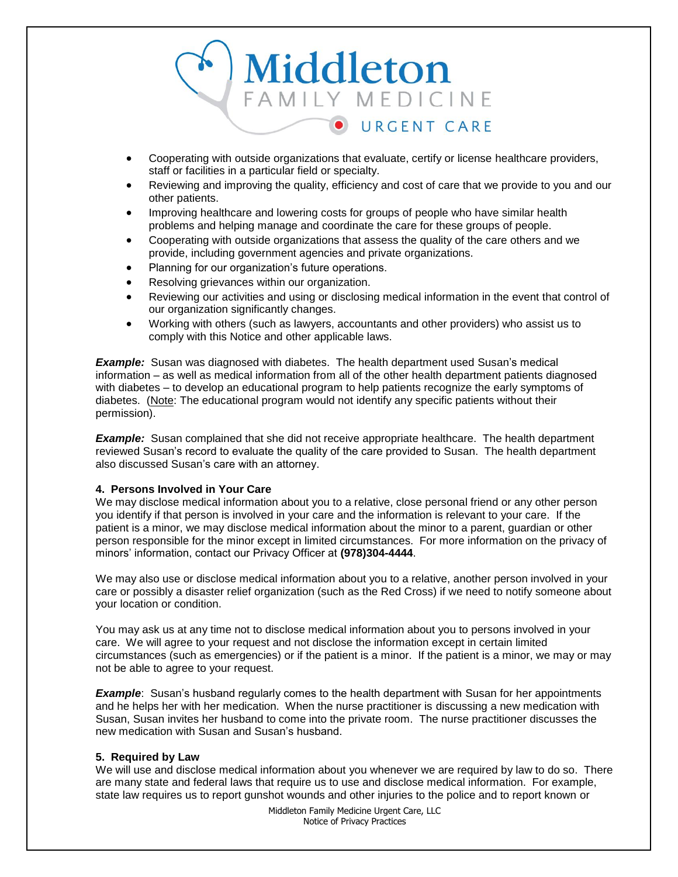

- Cooperating with outside organizations that evaluate, certify or license healthcare providers, staff or facilities in a particular field or specialty.
- Reviewing and improving the quality, efficiency and cost of care that we provide to you and our other patients.
- Improving healthcare and lowering costs for groups of people who have similar health problems and helping manage and coordinate the care for these groups of people.
- Cooperating with outside organizations that assess the quality of the care others and we provide, including government agencies and private organizations.
- Planning for our organization's future operations.
- Resolving grievances within our organization.
- Reviewing our activities and using or disclosing medical information in the event that control of our organization significantly changes.
- Working with others (such as lawyers, accountants and other providers) who assist us to comply with this Notice and other applicable laws.

**Example:** Susan was diagnosed with diabetes. The health department used Susan's medical information – as well as medical information from all of the other health department patients diagnosed with diabetes – to develop an educational program to help patients recognize the early symptoms of diabetes. (Note: The educational program would not identify any specific patients without their permission).

**Example:** Susan complained that she did not receive appropriate healthcare. The health department reviewed Susan's record to evaluate the quality of the care provided to Susan. The health department also discussed Susan's care with an attorney.

# **4. Persons Involved in Your Care**

We may disclose medical information about you to a relative, close personal friend or any other person you identify if that person is involved in your care and the information is relevant to your care. If the patient is a minor, we may disclose medical information about the minor to a parent, guardian or other person responsible for the minor except in limited circumstances. For more information on the privacy of minors' information, contact our Privacy Officer at **(978)304-4444**.

We may also use or disclose medical information about you to a relative, another person involved in your care or possibly a disaster relief organization (such as the Red Cross) if we need to notify someone about your location or condition.

You may ask us at any time not to disclose medical information about you to persons involved in your care. We will agree to your request and not disclose the information except in certain limited circumstances (such as emergencies) or if the patient is a minor. If the patient is a minor, we may or may not be able to agree to your request.

**Example**: Susan's husband regularly comes to the health department with Susan for her appointments and he helps her with her medication. When the nurse practitioner is discussing a new medication with Susan, Susan invites her husband to come into the private room. The nurse practitioner discusses the new medication with Susan and Susan's husband.

# **5. Required by Law**

We will use and disclose medical information about you whenever we are required by law to do so. There are many state and federal laws that require us to use and disclose medical information. For example, state law requires us to report gunshot wounds and other injuries to the police and to report known or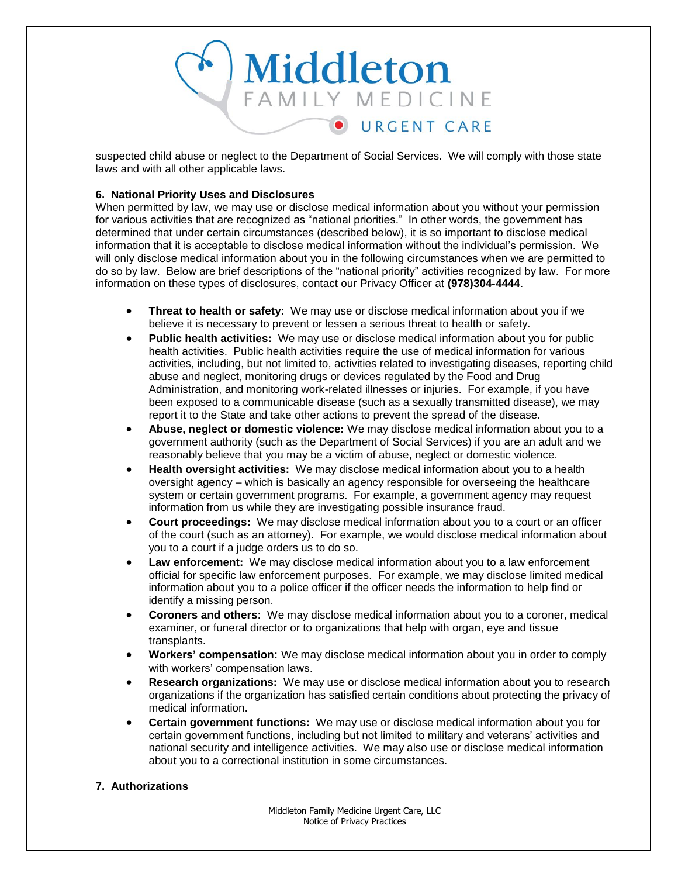

suspected child abuse or neglect to the Department of Social Services. We will comply with those state laws and with all other applicable laws.

# **6. National Priority Uses and Disclosures**

When permitted by law, we may use or disclose medical information about you without your permission for various activities that are recognized as "national priorities." In other words, the government has determined that under certain circumstances (described below), it is so important to disclose medical information that it is acceptable to disclose medical information without the individual's permission. We will only disclose medical information about you in the following circumstances when we are permitted to do so by law. Below are brief descriptions of the "national priority" activities recognized by law. For more information on these types of disclosures, contact our Privacy Officer at **(978)304-4444**.

- **Threat to health or safety:** We may use or disclose medical information about you if we believe it is necessary to prevent or lessen a serious threat to health or safety.
- **Public health activities:** We may use or disclose medical information about you for public health activities. Public health activities require the use of medical information for various activities, including, but not limited to, activities related to investigating diseases, reporting child abuse and neglect, monitoring drugs or devices regulated by the Food and Drug Administration, and monitoring work-related illnesses or injuries. For example, if you have been exposed to a communicable disease (such as a sexually transmitted disease), we may report it to the State and take other actions to prevent the spread of the disease.
- **Abuse, neglect or domestic violence:** We may disclose medical information about you to a government authority (such as the Department of Social Services) if you are an adult and we reasonably believe that you may be a victim of abuse, neglect or domestic violence.
- **Health oversight activities:** We may disclose medical information about you to a health oversight agency – which is basically an agency responsible for overseeing the healthcare system or certain government programs. For example, a government agency may request information from us while they are investigating possible insurance fraud.
- **Court proceedings:** We may disclose medical information about you to a court or an officer of the court (such as an attorney). For example, we would disclose medical information about you to a court if a judge orders us to do so.
- **Law enforcement:** We may disclose medical information about you to a law enforcement official for specific law enforcement purposes. For example, we may disclose limited medical information about you to a police officer if the officer needs the information to help find or identify a missing person.
- **Coroners and others:** We may disclose medical information about you to a coroner, medical examiner, or funeral director or to organizations that help with organ, eye and tissue transplants.
- **Workers' compensation:** We may disclose medical information about you in order to comply with workers' compensation laws.
- **Research organizations:** We may use or disclose medical information about you to research organizations if the organization has satisfied certain conditions about protecting the privacy of medical information.
- **Certain government functions:** We may use or disclose medical information about you for certain government functions, including but not limited to military and veterans' activities and national security and intelligence activities. We may also use or disclose medical information about you to a correctional institution in some circumstances.

# **7. Authorizations**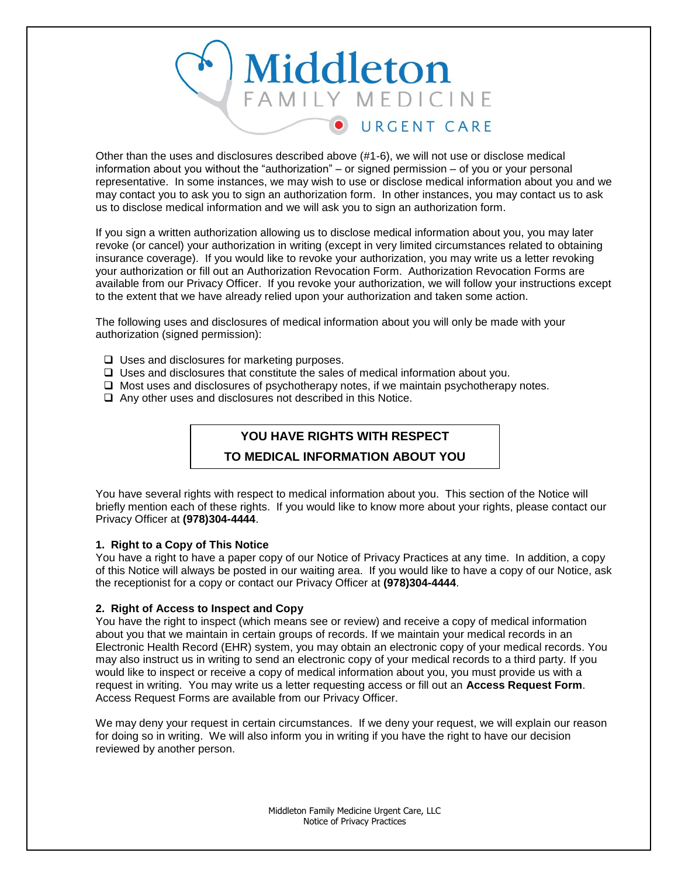

Other than the uses and disclosures described above (#1-6), we will not use or disclose medical information about you without the "authorization" – or signed permission – of you or your personal representative. In some instances, we may wish to use or disclose medical information about you and we may contact you to ask you to sign an authorization form. In other instances, you may contact us to ask us to disclose medical information and we will ask you to sign an authorization form.

If you sign a written authorization allowing us to disclose medical information about you, you may later revoke (or cancel) your authorization in writing (except in very limited circumstances related to obtaining insurance coverage). If you would like to revoke your authorization, you may write us a letter revoking your authorization or fill out an Authorization Revocation Form. Authorization Revocation Forms are available from our Privacy Officer. If you revoke your authorization, we will follow your instructions except to the extent that we have already relied upon your authorization and taken some action.

The following uses and disclosures of medical information about you will only be made with your authorization (signed permission):

- $\Box$  Uses and disclosures for marketing purposes.
- Uses and disclosures that constitute the sales of medical information about you.
- $\Box$  Most uses and disclosures of psychotherapy notes, if we maintain psychotherapy notes.
- $\Box$  Any other uses and disclosures not described in this Notice.

# **YOU HAVE RIGHTS WITH RESPECT**

# **TO MEDICAL INFORMATION ABOUT YOU**

You have several rights with respect to medical information about you. This section of the Notice will briefly mention each of these rights. If you would like to know more about your rights, please contact our Privacy Officer at **(978)304-4444**.

# **1. Right to a Copy of This Notice**

You have a right to have a paper copy of our Notice of Privacy Practices at any time. In addition, a copy of this Notice will always be posted in our waiting area. If you would like to have a copy of our Notice, ask the receptionist for a copy or contact our Privacy Officer at **(978)304-4444**.

# **2. Right of Access to Inspect and Copy**

You have the right to inspect (which means see or review) and receive a copy of medical information about you that we maintain in certain groups of records. If we maintain your medical records in an Electronic Health Record (EHR) system, you may obtain an electronic copy of your medical records. You may also instruct us in writing to send an electronic copy of your medical records to a third party. If you would like to inspect or receive a copy of medical information about you, you must provide us with a request in writing. You may write us a letter requesting access or fill out an **Access Request Form**. Access Request Forms are available from our Privacy Officer.

We may deny your request in certain circumstances. If we deny your request, we will explain our reason for doing so in writing. We will also inform you in writing if you have the right to have our decision reviewed by another person.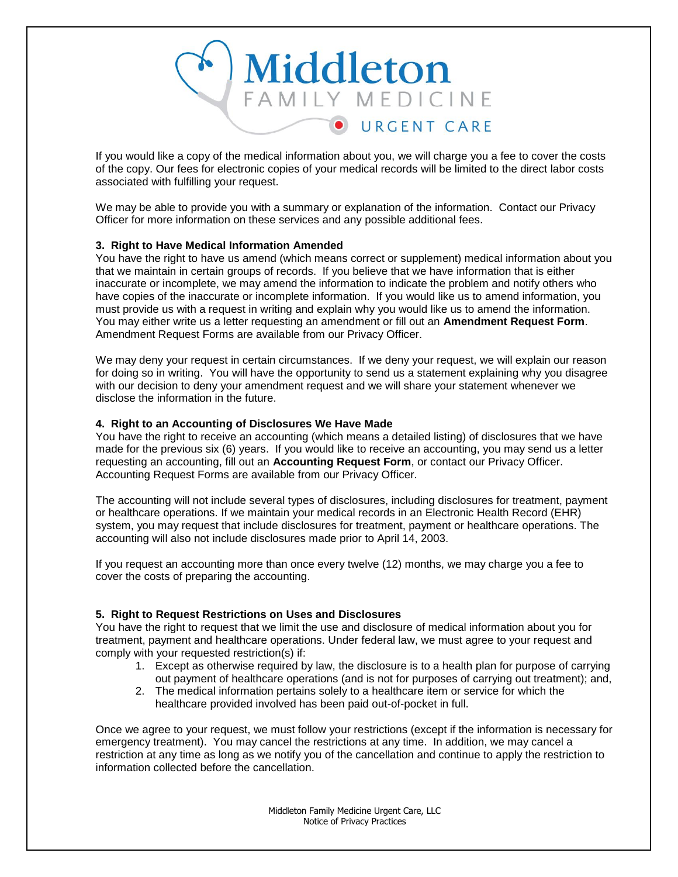

If you would like a copy of the medical information about you, we will charge you a fee to cover the costs of the copy. Our fees for electronic copies of your medical records will be limited to the direct labor costs associated with fulfilling your request.

We may be able to provide you with a summary or explanation of the information. Contact our Privacy Officer for more information on these services and any possible additional fees.

# **3. Right to Have Medical Information Amended**

You have the right to have us amend (which means correct or supplement) medical information about you that we maintain in certain groups of records. If you believe that we have information that is either inaccurate or incomplete, we may amend the information to indicate the problem and notify others who have copies of the inaccurate or incomplete information. If you would like us to amend information, you must provide us with a request in writing and explain why you would like us to amend the information. You may either write us a letter requesting an amendment or fill out an **Amendment Request Form**. Amendment Request Forms are available from our Privacy Officer.

We may deny your request in certain circumstances. If we deny your request, we will explain our reason for doing so in writing. You will have the opportunity to send us a statement explaining why you disagree with our decision to deny your amendment request and we will share your statement whenever we disclose the information in the future.

# **4. Right to an Accounting of Disclosures We Have Made**

You have the right to receive an accounting (which means a detailed listing) of disclosures that we have made for the previous six (6) years. If you would like to receive an accounting, you may send us a letter requesting an accounting, fill out an **Accounting Request Form**, or contact our Privacy Officer. Accounting Request Forms are available from our Privacy Officer.

The accounting will not include several types of disclosures, including disclosures for treatment, payment or healthcare operations. If we maintain your medical records in an Electronic Health Record (EHR) system, you may request that include disclosures for treatment, payment or healthcare operations. The accounting will also not include disclosures made prior to April 14, 2003.

If you request an accounting more than once every twelve (12) months, we may charge you a fee to cover the costs of preparing the accounting.

# **5. Right to Request Restrictions on Uses and Disclosures**

You have the right to request that we limit the use and disclosure of medical information about you for treatment, payment and healthcare operations. Under federal law, we must agree to your request and comply with your requested restriction(s) if:

- 1. Except as otherwise required by law, the disclosure is to a health plan for purpose of carrying out payment of healthcare operations (and is not for purposes of carrying out treatment); and,
- 2. The medical information pertains solely to a healthcare item or service for which the healthcare provided involved has been paid out-of-pocket in full.

Once we agree to your request, we must follow your restrictions (except if the information is necessary for emergency treatment). You may cancel the restrictions at any time. In addition, we may cancel a restriction at any time as long as we notify you of the cancellation and continue to apply the restriction to information collected before the cancellation.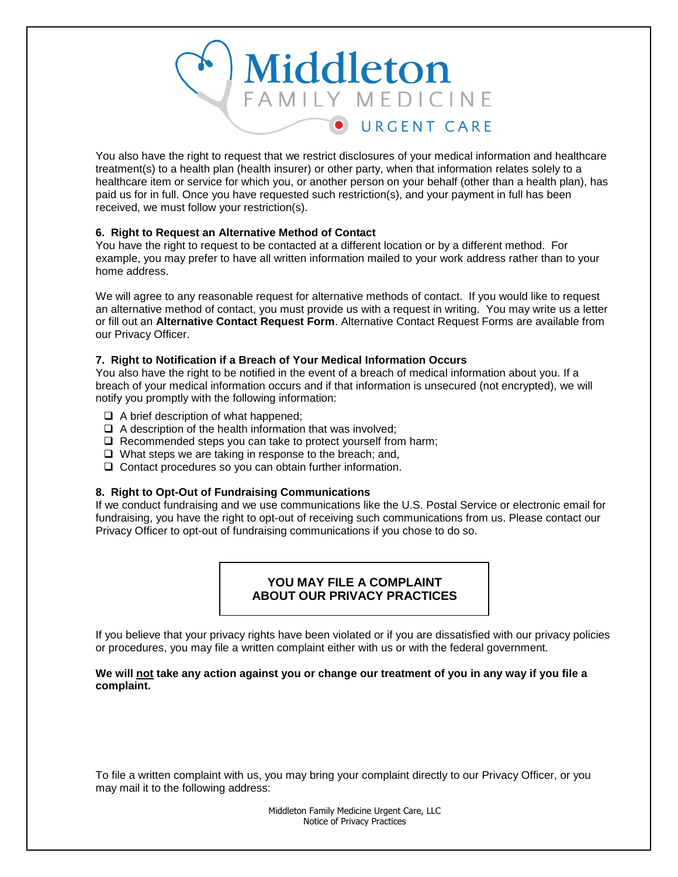

You also have the right to request that we restrict disclosures of your medical information and healthcare treatment(s) to a health plan (health insurer) or other party, when that information relates solely to a healthcare item or service for which you, or another person on your behalf (other than a health plan), has paid us for in full. Once you have requested such restriction(s), and your payment in full has been received, we must follow your restriction(s).

# **6. Right to Request an Alternative Method of Contact**

You have the right to request to be contacted at a different location or by a different method. For example, you may prefer to have all written information mailed to your work address rather than to your home address.

We will agree to any reasonable request for alternative methods of contact. If you would like to request an alternative method of contact, you must provide us with a request in writing. You may write us a letter or fill out an **Alternative Contact Request Form**. Alternative Contact Request Forms are available from our Privacy Officer.

# **7. Right to Notification if a Breach of Your Medical Information Occurs**

You also have the right to be notified in the event of a breach of medical information about you. If a breach of your medical information occurs and if that information is unsecured (not encrypted), we will notify you promptly with the following information:

- $\Box$  A brief description of what happened;
- $\Box$  A description of the health information that was involved;
- $\Box$  Recommended steps you can take to protect yourself from harm;
- $\Box$  What steps we are taking in response to the breach; and,
- $\Box$  Contact procedures so you can obtain further information.

# **8. Right to Opt-Out of Fundraising Communications**

If we conduct fundraising and we use communications like the U.S. Postal Service or electronic email for fundraising, you have the right to opt-out of receiving such communications from us. Please contact our Privacy Officer to opt-out of fundraising communications if you chose to do so.

# **YOU MAY FILE A COMPLAINT ABOUT OUR PRIVACY PRACTICES**

If you believe that your privacy rights have been violated or if you are dissatisfied with our privacy policies or procedures, you may file a written complaint either with us or with the federal government.

# **We will not take any action against you or change our treatment of you in any way if you file a complaint.**

To file a written complaint with us, you may bring your complaint directly to our Privacy Officer, or you may mail it to the following address: